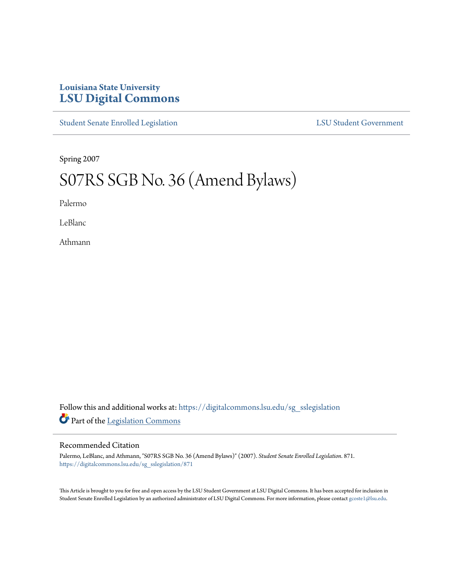## **Louisiana State University [LSU Digital Commons](https://digitalcommons.lsu.edu?utm_source=digitalcommons.lsu.edu%2Fsg_sslegislation%2F871&utm_medium=PDF&utm_campaign=PDFCoverPages)**

[Student Senate Enrolled Legislation](https://digitalcommons.lsu.edu/sg_sslegislation?utm_source=digitalcommons.lsu.edu%2Fsg_sslegislation%2F871&utm_medium=PDF&utm_campaign=PDFCoverPages) [LSU Student Government](https://digitalcommons.lsu.edu/sg?utm_source=digitalcommons.lsu.edu%2Fsg_sslegislation%2F871&utm_medium=PDF&utm_campaign=PDFCoverPages)

Spring 2007

## S07RS SGB No. 36 (Amend Bylaws)

Palermo

LeBlanc

Athmann

Follow this and additional works at: [https://digitalcommons.lsu.edu/sg\\_sslegislation](https://digitalcommons.lsu.edu/sg_sslegislation?utm_source=digitalcommons.lsu.edu%2Fsg_sslegislation%2F871&utm_medium=PDF&utm_campaign=PDFCoverPages) Part of the [Legislation Commons](http://network.bepress.com/hgg/discipline/859?utm_source=digitalcommons.lsu.edu%2Fsg_sslegislation%2F871&utm_medium=PDF&utm_campaign=PDFCoverPages)

## Recommended Citation

Palermo, LeBlanc, and Athmann, "S07RS SGB No. 36 (Amend Bylaws)" (2007). *Student Senate Enrolled Legislation*. 871. [https://digitalcommons.lsu.edu/sg\\_sslegislation/871](https://digitalcommons.lsu.edu/sg_sslegislation/871?utm_source=digitalcommons.lsu.edu%2Fsg_sslegislation%2F871&utm_medium=PDF&utm_campaign=PDFCoverPages)

This Article is brought to you for free and open access by the LSU Student Government at LSU Digital Commons. It has been accepted for inclusion in Student Senate Enrolled Legislation by an authorized administrator of LSU Digital Commons. For more information, please contact [gcoste1@lsu.edu.](mailto:gcoste1@lsu.edu)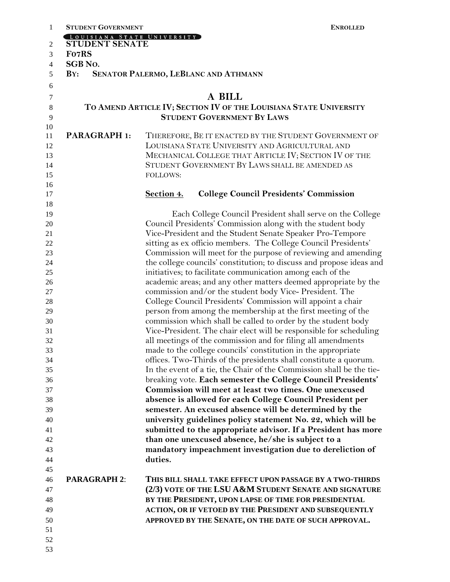| 1        | <b>STUDENT GOVERNMENT</b>                                            | <b>ENROLLED</b>                                                                                                               |  |  |
|----------|----------------------------------------------------------------------|-------------------------------------------------------------------------------------------------------------------------------|--|--|
|          | LOUISIANA STATE UNIVERSITY                                           |                                                                                                                               |  |  |
| 2        | STUDENT SENATE                                                       |                                                                                                                               |  |  |
| 3        | Fo7RS                                                                |                                                                                                                               |  |  |
| 4        | <b>SGB No.</b><br>BY:<br><b>SENATOR PALERMO, LEBLANC AND ATHMANN</b> |                                                                                                                               |  |  |
| 5        |                                                                      |                                                                                                                               |  |  |
| 6        |                                                                      |                                                                                                                               |  |  |
| 7        |                                                                      | A BILL                                                                                                                        |  |  |
| 8        | TO AMEND ARTICLE IV; SECTION IV OF THE LOUISIANA STATE UNIVERSITY    |                                                                                                                               |  |  |
| 9        |                                                                      | <b>STUDENT GOVERNMENT BY LAWS</b>                                                                                             |  |  |
| 10<br>11 | <b>PARAGRAPH 1:</b>                                                  | THEREFORE, BE IT ENACTED BY THE STUDENT GOVERNMENT OF                                                                         |  |  |
| 12       |                                                                      | LOUISIANA STATE UNIVERSITY AND AGRICULTURAL AND                                                                               |  |  |
| 13       |                                                                      | MECHANICAL COLLEGE THAT ARTICLE IV; SECTION IV OF THE                                                                         |  |  |
| 14       |                                                                      | STUDENT GOVERNMENT BY LAWS SHALL BE AMENDED AS                                                                                |  |  |
| 15       |                                                                      | <b>FOLLOWS:</b>                                                                                                               |  |  |
| 16       |                                                                      |                                                                                                                               |  |  |
| 17       |                                                                      | Section 4.<br><b>College Council Presidents' Commission</b>                                                                   |  |  |
| 18       |                                                                      |                                                                                                                               |  |  |
| 19       |                                                                      | Each College Council President shall serve on the College                                                                     |  |  |
| 20       |                                                                      | Council Presidents' Commission along with the student body                                                                    |  |  |
| 21       |                                                                      | Vice-President and the Student Senate Speaker Pro-Tempore                                                                     |  |  |
| 22       |                                                                      | sitting as ex officio members. The College Council Presidents'                                                                |  |  |
| 23       |                                                                      | Commission will meet for the purpose of reviewing and amending                                                                |  |  |
| 24       |                                                                      | the college councils' constitution; to discuss and propose ideas and                                                          |  |  |
| 25       |                                                                      | initiatives; to facilitate communication among each of the                                                                    |  |  |
| 26       |                                                                      | academic areas; and any other matters deemed appropriate by the                                                               |  |  |
| 27       |                                                                      | commission and/or the student body Vice-President. The                                                                        |  |  |
| 28       |                                                                      | College Council Presidents' Commission will appoint a chair                                                                   |  |  |
| 29<br>30 |                                                                      | person from among the membership at the first meeting of the<br>commission which shall be called to order by the student body |  |  |
| 31       |                                                                      | Vice-President. The chair elect will be responsible for scheduling                                                            |  |  |
| 32       |                                                                      | all meetings of the commission and for filing all amendments                                                                  |  |  |
| 33       |                                                                      | made to the college councils' constitution in the appropriate                                                                 |  |  |
| 34       |                                                                      | offices. Two-Thirds of the presidents shall constitute a quorum.                                                              |  |  |
| 35       |                                                                      | In the event of a tie, the Chair of the Commission shall be the tie-                                                          |  |  |
| 36       |                                                                      | breaking vote. Each semester the College Council Presidents'                                                                  |  |  |
| 37       |                                                                      | Commission will meet at least two times. One unexcused                                                                        |  |  |
| 38       |                                                                      | absence is allowed for each College Council President per                                                                     |  |  |
| 39       |                                                                      | semester. An excused absence will be determined by the                                                                        |  |  |
| 40       |                                                                      | university guidelines policy statement No. 22, which will be                                                                  |  |  |
| 41       |                                                                      | submitted to the appropriate advisor. If a President has more                                                                 |  |  |
| 42       |                                                                      | than one unexcused absence, he/she is subject to a                                                                            |  |  |
| 43       |                                                                      | mandatory impeachment investigation due to dereliction of                                                                     |  |  |
| 44       |                                                                      | duties.                                                                                                                       |  |  |
| 45       |                                                                      |                                                                                                                               |  |  |
| 46       | <b>PARAGRAPH 2:</b>                                                  | THIS BILL SHALL TAKE EFFECT UPON PASSAGE BY A TWO-THIRDS                                                                      |  |  |
| 47       |                                                                      | (2/3) VOTE OF THE LSU A &M STUDENT SENATE AND SIGNATURE                                                                       |  |  |
| 48       |                                                                      | BY THE PRESIDENT, UPON LAPSE OF TIME FOR PRESIDENTIAL                                                                         |  |  |
| 49       |                                                                      | <b>ACTION, OR IF VETOED BY THE PRESIDENT AND SUBSEQUENTLY</b>                                                                 |  |  |
| 50       |                                                                      | APPROVED BY THE SENATE, ON THE DATE OF SUCH APPROVAL.                                                                         |  |  |
| 51       |                                                                      |                                                                                                                               |  |  |
| 52       |                                                                      |                                                                                                                               |  |  |
| 53       |                                                                      |                                                                                                                               |  |  |